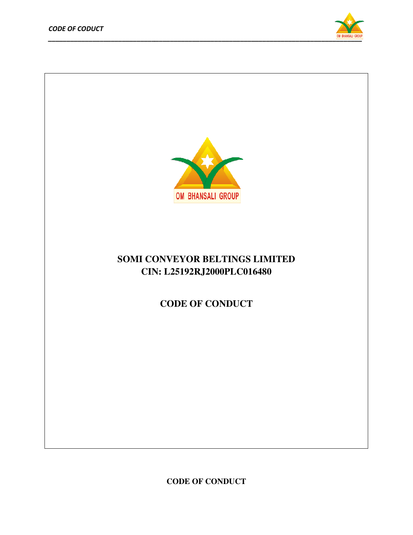



## **SOMI CONVEYOR BELTINGS LIMITED<br>CIN: L25192RJ2000PLC016480<br>CODE OF CONDUCT CIN: L25192RJ2000PLC016480**

**CODE OF CONDUCT**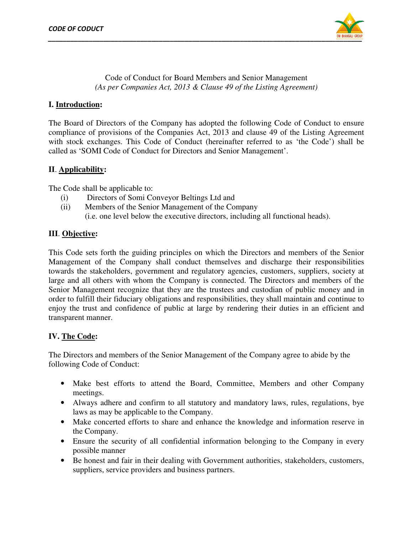

Code of Conduct for Board Members and Senior Management *(As per Companies Act, 2013 & Clause 49 of the Listing Agreement)*

### **I. Introduction:**

The Board of Directors of the Company has adopted the following Code of Conduct to ensure The Board of Directors of the Company has adopted the following Code of Conduct to ensure<br>compliance of provisions of the Companies Act, 2013 and clause 49 of the Listing Agreement with stock exchanges. This Code of Conduct (hereinafter referred to as 'the Code') shall be called as 'SOMI Code of Conduct for Directors and Senior Management'. called as 'SOMI Code of Conduct for Directors and Senior Management'.

### **II**. **Applicability:**

The Code shall be applicable to:

- (i) Directors of Somi Conveyor Beltings Somi Ltd and
- (ii) Members of the Senior Management of the Company (i.e. one level below the executive directors, including all functional heads).

### **III**. **Objective:**

(i.e. one level below the executive directors, including all functional heads).<br> **III**. **<u>Objective</u>:**<br>
This Code sets forth the guiding principles on which the Directors and members of the Senior Management of the Company shall conduct themselves and discharge their responsibilities towards the stakeholders, government and regulatory agencies, customers, suppliers, society at large and all others with whom the Company is connected. The Directors and members of the Senior Management recognize that they are the trustees and custodian of public money and in order to fulfill their fiduciary obligations and responsibilities, they shall maintain and continue to enjoy the trust and confidence of public at large by rendering their duties in an efficient and transparent manner. gement of the Company shall conduct themselves and discharge their responsibilities<br>ds the stakeholders, government and regulatory agencies, customers, suppliers, society at<br>and all others with whom the Company is connecte recognize that they are the trustees and custodian of public money and in their fiduciary obligations and responsibilities, they shall maintain and continue to and confidence of public at large by rendering their duties in Company is connected. The Directors and members of the<br>ey are the trustees and custodian of public money and in<br>ons and responsibilities, they shall maintain and continue to<br>blic at large by rendering their duties in an ef

### **IV. The Code:**

The Directors and members of the Senior Management of the Company agree to abide by the following Code of Conduct: • Directors and members of the Senior Management of the Company agree to abide by the<br>
• Make best efforts to attend the Board, Committee, Members and other Company

- meetings.
- Always adhere and confirm to all statutory and mandatory laws, rules, regulations, bye laws as may be applicable to the Company.
- Make concerted efforts to share and enhance the knowledge and information reserve in the Company.
- Ensure the security of all confidential information belonging to the Company in every possible manner s adhere and confirm to all statutory and mandatory laws, rule<br>s may be applicable to the Company.<br>concerted efforts to share and enhance the knowledge and infe<br>mpany.<br>the security of all confidential information belonging
- Be honest and fair in their dealing with Government authorities, stakeholders, customers, suppliers, service providers and business partners.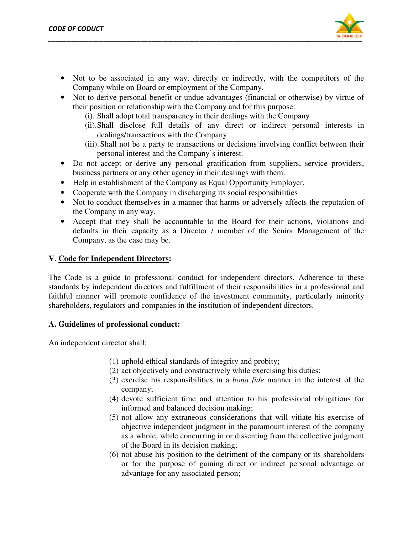

- Not to be associated in any way, directly or indirectly, with the competitors of the Company while on Board or employment of the Company.
- Not to derive personal benefit or undue advantages (financial or otherwise) by virtue of their position or relationship with the Company and for this purpose: be associated in any way, directly or indirectly, with the competitors of y while on Board or employment of the Company.<br>
erive personal benefit or undue advantages (financial or otherwise) by virtue<br>
ition or relationship
	- (i). Shall adopt total transparency in their dealings with the Company
	- (ii).Shall disclose full details of any direct or indirect personal interests in dealings/transactions with the Company
	- (iii). Shall not be a party to transactions or decisions involving conflict between their personal interest and the Company's interest.
- Do not accept or derive any personal gratification from suppliers, service providers, Do not accept or derive any personal gratification from suppl<br>business partners or any other agency in their dealings with them.
- Help in establishment of the Company as Equal Opportunity Employer.
- Cooperate with the Company in discharging its social responsibilities
- Not to conduct themselves in a manner that harms or adversely affects the reputation of the Company in any way.
- Accept that they shall be accountable to the Board for their actions, violations and defaults in their capacity as a Director / member of the Senior Management of the Company, as the case may be. selves in a manner that harms or adversely affects the reputation company in any way.<br>The that they shall be accountable to the Board for their actions, violations and the of the of may shall be accountable to the Senior M

### **V**. Code for Independent Directors:

The Code is a guide to professional conduct for independent directors. Adherence to these standards by independent directors and fulfillment of their responsibilities in a professional and faithful manner will promote confidence of the investment community, particularly minority shareholders, regulators and companies in the institution of independent directors. The Code is a guide to professional conduct for independent directors. Adherence standards by independent directors and fulfillment of their responsibilities in a profession faithful manner will promote confidence of the i ii). Shall not be a party to transactions or decisions involving conflict between their<br>
in personal interest and the Company's interest.<br>
to accept or derive any personal gratification from suppliers, service providers,<br>

### **A. Guidelines of professional conduct: of professional conduct:**

An independent director shall:

- (1) uphold ethical standards of integrity and probity;
- $(2)$  act objectively and constructively while exercising his duties;
- (3) exercise his responsibilities in a *bona fide* manner in the interest of the company;
- (4) devote sufficient time and attention to his professional obligations for informed and balanced decision making; (4) devote sufficient time and attention to his professional obligations for informed and balanced decision making;<br>(5) not allow any extraneous considerations that will vitiate his exercise of
- objective independent judgment in the paramount interest of the company as a whole, while concurring in or dissenting from the collective judgment of the Board in its decision making; iective independent judgment in the paramount interest of the company<br>a whole, while concurring in or dissenting from the collective judgment<br>the Board in its decision making;<br>t abuse his position to the detriment of the c
- (6) not abuse his position to the detri or for the purpose of gaining direct or indirect personal advantage or advantage for any associated person;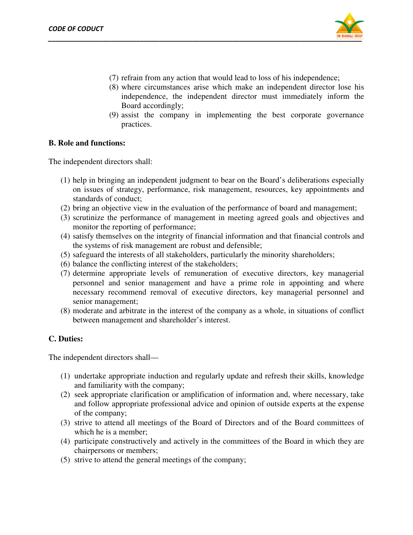

- (7) refrain from any action that would lead to loss of his independence;
- (8) where circumstances arise which make an independent director lose his independence, the independent director must immediately inform the Board accordingly;
- (9) assist the company in implementing the best corporate governance practices. independence, the independent director must immediately i<br>Board accordingly;<br>(9) assist the company in implementing the best corporate g<br>practices.<br>**functions:**<br>dent directors shall:<br>in bringing an independent judgment to

#### **B. Role and functions:**

The independent directors shall:

- (1) help in bringing an independent judgment to bear on the Board's deliberations on issues of strategy, performance, risk management, resources, key appointments and standards of conduct;
- $(2)$  bring an objective view in the evaluation of the performance of board and management;
- (3) scrutinize the performance of management in meeting agreed goals and objectives and monitor the reporting of performance; monitor the reporting of performance;
- (4) satisfy themselves on the integrity of financial information and that financial controls and the systems of risk management are robust and defensible; the systems of risk management are robust and defensible;
- (5) safeguard the interests of all stakeholders, particularly the minority shareholders; shareholders;
- (6) balance the conflicting interest of the stakeholders;
- (6) balance the conflicting interest of the stakeholders;<br>(7) determine appropriate levels of remuneration of executive directors, key managerial personnel and senior management and have a prime role in appointing and where necessary recommend removal of executive directors, key managerial senior management; and senior management and have a prime role in appointing<br>recommend removal of executive directors, key managerial per-<br>nagement;<br>and arbitrate in the interest of the company as a whole, in situations (8) where circumstances arise which make an independent director loose his approximate independent of the Sourd accordingly; (9) ansid the company in implementing the best corporate governance (9) approximately infrom the managerial personnel and
- (8) moderate and arbitrate in the interest of the company as a whole, in sit uations of conflict between management and shareholder's interest.

#### **C. Duties:**

The independent directors shall—

- (1) undertake appropriate induction and regularly update and refresh their skills, and familiarity with the company; ependent directors shall—<br>undertake appropriate induction and regularly update and refresh their skills,<br>and familiarity with the company; skills, knowledge
- (2) seek appropriate clarification or amplification of information and, where necessary, take seek appropriate clarification or amplification of information and, where necessary, take and follow appropriate professional advice and opinion of outside experts at the expense of the company; and follow appropriate professional advice and opinion of outside experts at the expense<br>of the company;<br>(3) strive to attend all meetings of the Board of Directors and of the Board committees of
- which he is a member;
- (4) participate constructively and actively in the committees of the Board in which they are chairpersons or members;
- (5) strive to attend the general meetings of the company;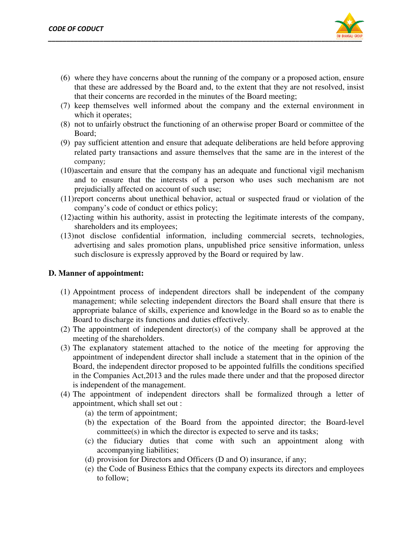

- (6) where they have concerns about the running of the company or a proposed action, ensure that these are addressed by the Board and, to the extent that they are not resolved, insist that their concerns are recorded in the minutes of the Board meeting;
- (7) keep themselves well informed about the company and the external environment in which it operates;
- (8) not to unfairly obstruct the functioning of an otherwise proper Board or committee of the Board;
- (9) pay sufficient attention and ensure that adequate deliberations are held before before approving not to unfairly obstruct the functioning of an otherwise proper Board or committee of the Board;<br>Board;<br>pay sufficient attention and ensure that adequate deliberations are held before approving<br>related party transactions a company;
- (10)ascertain and ensure that the company has an adequate and functional vigil mechanism and to ensure that the interests of a person who uses such mechanism are not prejudicially affected on account of such use; ascertain and ensure that the company has an adequate and functional<br>and to ensure that the interests of a person who uses such med<br>prejudicially affected on account of such use;
- (11) report concerns about unethical behavior, actual or suspected fraud or violation of the company's code of conduct or ethics policy;
- (12)acting within his authority, assist in protecting the legitimate interests of the company, shareholders and its employees;
- (13)not disclose confidential information, including commercial secrets, technologies, advertising and sales promotion plans, unpublished price sensitive information, unless such disclosure is expressly approved by the Board or required by law. company's code of conduct or ethics policy;<br>acting within his authority, assist in protecting the legitimate interests of the cor<br>shareholders and its employees;<br>not disclose confidential information, including commercial

#### **D. Manner of appointment:**

- (1) Appointment process of independent directors shall be independent of the company management; while selecting independent directors the Board shall ensure that there is appropriate balance of skills, experience and knowledge Board to discharge its functions and duties effectively. process of independent directors shall be independent of the company<br>while selecting independent directors the Board shall ensure that there is<br>lance of skills, experience and knowledge in the Board so as to enable the
- (2) The appointment of independent director(s) of the company shall be approved at the meeting of the shareholders. discharge its functions and duties effectively.<br>
ointment of independent director(s) of the company shall be approved at the<br>
of the shareholders.<br>
lanatory statement attached to the notice of the meeting for approving the
- (3) The explanatory statement attached to the notice of t appointment of independent director shall include a statement that in the opinion of the Board, the independent director proposed to be appointed fulfills the conditions specified in the Companies Act, 2013 and the rules made there under and that the proposed director is independent of the management. itment of independent director shall include a statement that in the opinion of the<br>, the independent director proposed to be appointed fulfills the conditions specified<br>Companies Act,2013 and the rules made there under an report concerns about unethical behavior, actual or suspected fraud or violation of the company, scole of conduct or ethics policy;<br>acting within his authority, assist in protecting the legitimate interests of the company,
- (4) The appointment of independent directors shall be formalized through a letter of appointment, which shall set out :
	- (a) the term of appointment;
	- (b) the expectation of the Board from the appointed director; the Board committee(s) in which the director is expected to serve and its tasks;
	- (c) the fiduciary duties that come with such an appointment along with accompanying liabilities; expected to serve and its ta<br>that come with such an appointm<br>;<br>nd Officers (D and O) insurance, if any;
	- (d) provision for Directors and Officers (D and O) insurance, if any;
	- (e) the Code of Business Ethics that the company expects its directors and employees to follow;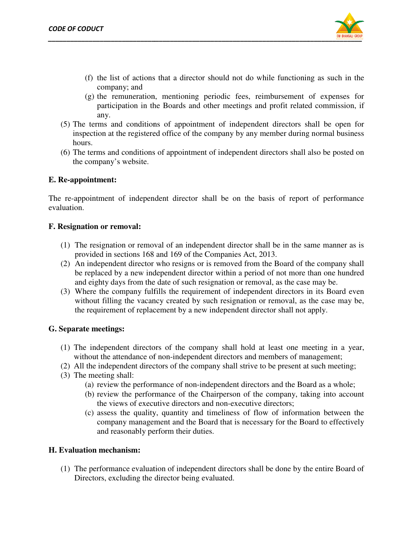

- (f) the list of actions that a director should not do while functioning as such in company; and
- (g) the remuneration, mentioning periodic fees, reimbursement of participation in the Boards and other meetings and profit related commission, if any. r should not do while functioning as such in t<br>periodic fees, reimbursement of expenses f<br>other meetings and profit related commission, be list of actions than a director should not do while functioning as such in the list of actions company; and<br>
company: and<br>
performancemon, mentioning periodic fees, crimbuses may,<br>
participation in the Boards and other of expenses for
- (5) The terms and conditions of appointment of independent directors shall be open for inspection at the registered office of the company by any member during normal business hours. The terms and conditions of appointment of independent directors shall be open inspection at the registered office of the company by any member during normal busine<br>nours.<br>The terms and conditions of appointment of indepen
- (6) The terms and conditions of appointment of independent directors shall also be posted on the company's website.

#### **E. Re-appointment:**

The re-appointment of independent director shall be on the basis of report of performance evaluation.

#### **F. Resignation or removal:**

- (1) The resignation or removal of an independent director shall be in the same manner as is provided in sections 168 and 169 of the Companies Act,
- (2) An independent director who resigns or is removed from the Board of the company shall be replaced by a new independent director within a period of not more than one hundred and eighty days from the date of such resignation or removal, as the case may be. be replaced by a new independent director within a period of not more than one hundred<br>and eighty days from the date of such resignation or removal, as the case may be.<br>(3) Where the company fulfills the requirement of ind
- without filling the vacancy created by such resignation or removal, as the case may be, the requirement of replacement by a new independent director shall not apply.<br> **The independent directors of the company shall hold at** the requirement of replacement by a new independent director shall not apply. resigns or is removed from the Board of the company shall<br>dent director within a period of not more than one hundred<br>of such resignation or removal, as the case may be.<br>ne requirement of independent directors in its Board

#### **G. Separate meetings:**

- (1) The independent directors of the company shall without the attendance of non-independent directors and members of management;
- (2) All the independent directors of the company shall strive to be present at such meeting;
- (3) The meeting shall:
- the independent directors of the company shall strive to be present at such meeting;<br>experiment in the performance of non-independent directors and the Board as a whole;<br>(a) review the performance of non-independent direct
	- (b) review the performance of the Chairperson of the company, taking into account the views of executive directors and non-executive directors; the views of executive directors and non
	- (c) assess the quality, quantity and timeliness of flow of informati company management and the Board that is necessary for the Board to effectively and reasonably perform their duties.

#### **H. Evaluation mechanism:**

(1) The performance evaluation of independent directors shall be done by the entire Board of Directors, excluding the director being evaluated.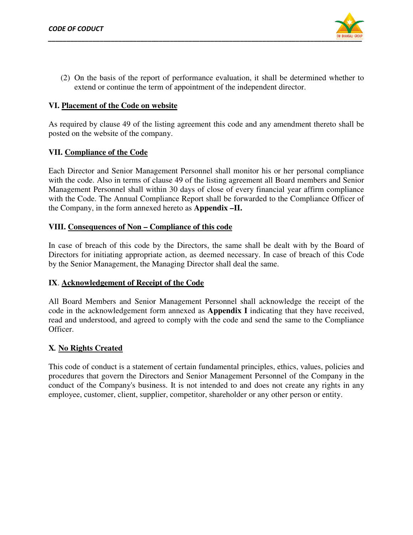

(2) On the basis of the report of performance evaluation, it shall be determined whether to extend or continue the term of appointment of the independent director. extend or continue the term of appointment of the independent director.

#### **VI. Placement of the Code on website Placement of**

As required by clause 49 of the listing agreement this code and any amendment thereto shall be posted on the website of the company.

#### **VII. Compliance of the Code**

Each Director and Senior Management Personnel shall monitor his or her personal compliance with the code. Also in terms of clause 49 of the listing agreement all Board members and Senior Management Personnel shall within 30 days of close of every financial year affirm compliance with the Code. The Annual Compliance Report shall be forwarded to the Compliance Officer of the Company, in the form annexed hereto as **Appendix –II.**  equired by clause 49 of the listing agreement this code and any amendment thereto s<br>d on the website of the company.<br>Compliance of the Code<br>Director and Senior Management Personnel shall monitor his or her personal com<br>the

#### **VIII. Consequences of Non – Compliance of this code**

In case of breach of this code by the Directors, the same shall be dealt with by the Board of In case of breach of this code by the Directors, the same shall be dealt with by the Board of Directors for initiating appropriate action, as deemed necessary. In case of breach of this Code by the Senior Management, the Managing Director shall deal the same. Directors for initiating appropriate action, as deemed necessary. In case of breach of this Code<br>by the Senior Management, the Managing Director shall deal the same.<br>IX. <u>Acknowledgement of Receipt of the Code</u><br>All Board M

#### **IX**. **Acknowledgement of Receipt of the Code**

code in the acknowledgement form annexed as **Appendix I** indicating that they have received, read and understood, and agreed to comply with the code and send the same to the Compliance Officer. read and understood, and agreed to comply with the code and send the same to the Compliance<br>Officer.<br>X. No Rights Created<br>This code of conduct is a statement of certain fundamental principles, ethics, values, policies and e Code. The Annual Compliance Report shall be forwarded to the Compliance Officer of<br>papay, in the form annexed hereto as **Appendix -II.**<br>Consequences of Non – Compliance of this code<br>of breach of this code by the Director annexed as **Appendix I** indicating that they have received comply with the code and send the same to the Complianty complies of certain fundamental principles, ethics, values, policies

#### **X***.* **No Rights Created**

procedures that govern the Directors and Senior Management Personnel of the Company in the conduct of the Company's business. It is not intended to and does not create any rights in any employee, customer, client, supplier, competitor, shareholder or any other person or entity.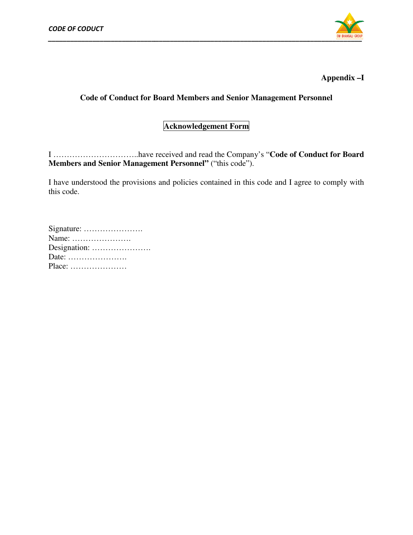

# **Code of Conduct for Board Members and Senior Management Personnel<br>Acknowledgement Form**

I …………………………..have received and read the Company's " have read the Company's **Code of Conduct for Board Code Members and Senior Management Personnel"** ("this code"). **Appendix –I**<br> **I Members and Senior Management Personnel<br>
<b>knowledgement Form**<br>
wed and read the Company's "Code of Conduct for Board<br>
Personnel" ("this code").<br>
policies contained in this code and I agree to comply with

I have understood the provisions and policies contained in this code and I agree to comply with this code.

| Signature:                                            |
|-------------------------------------------------------|
| Name:                                                 |
|                                                       |
| Date: $\dots\dots\dots\dots\dots\dots\dots\dots\dots$ |
| $Place: \ldots \ldots \ldots \ldots \ldots \ldots$    |